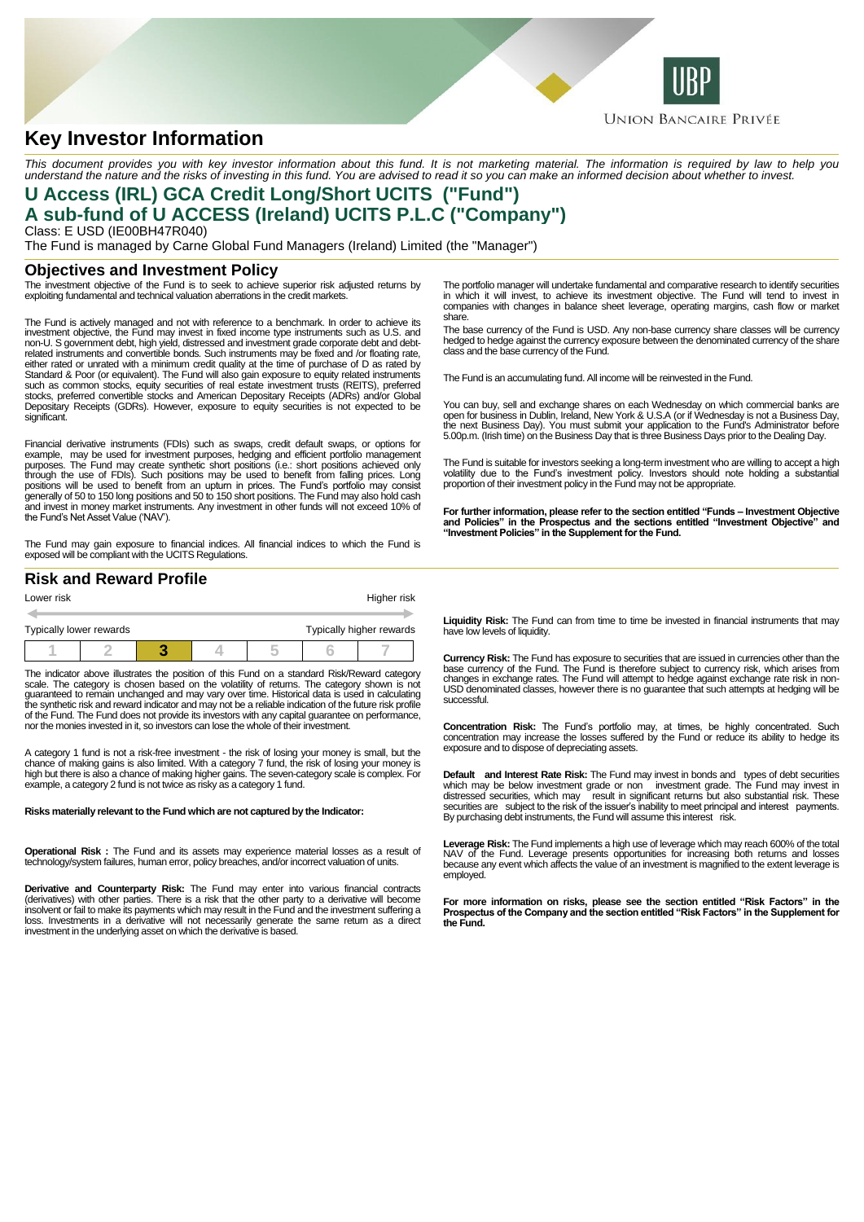

# **Key Investor Information**

This document provides you with key investor information about this fund. It is not marketing material. The information is required by law to help you<br>understand the nature and the risks of investing in this fund. You are

## **U Access (IRL) GCA Credit Long/Short UCITS ("Fund") A sub-fund of U ACCESS (Ireland) UCITS P.L.C ("Company")**

Class: E USD (IE00BH47R040) The Fund is managed by Carne Global Fund Managers (Ireland) Limited (the "Manager")

### **Objectives and Investment Policy**

The investment objective of the Fund is to seek to achieve superior risk adjusted returns by exploiting fundamental and technical valuation aberrations in the credit markets.

The Fund is actively managed and not with reference to a benchmark. In order to achieve its investment objective, the Fund may invest in fixed income type instruments such as U.S. and non-U. S government debt, high yield, distressed and investment grade corporate debt and debtrelated instruments and convertible bonds. Such instruments may be fixed and /or floating rate, either rated or unrated with a minimum credit quality at the time of purchase of D as rated by Standard & Poor (or equivalent). The Fund will also gain exposure to equity related instruments such as common stocks, equity securities of real estate investment trusts (REITS), preferred stocks, preferred convertible stocks and American Depositary Receipts (ADRs) and/or Global Depositary Receipts (GDRs). However, exposure to equity securities is not expected to be significant.

Financial derivative instruments (FDIs) such as swaps, credit default swaps, or options for example, may be used for investment purposes, hedging and efficient portfolio management<br>purposes. The Fund may create synthetic short positions (i.e.: short positions achieved only<br>through the use of FDIs). Such positions generally of 50 to 150 long positions and 50 to 150 short positions. The Fund may also hold cash and invest in money market instruments. Any investment in other funds will not exceed 10% of the Fund's Net Asset Value ('NAV').

The Fund may gain exposure to financial indices. All financial indices to which the Fund is exposed will be compliant with the UCITS Regulations.

### **Risk and Reward Profile**

| Lower risk |                                                     |  | Higher risk |  |  |  |  |
|------------|-----------------------------------------------------|--|-------------|--|--|--|--|
|            |                                                     |  |             |  |  |  |  |
|            | Typically higher rewards<br>Typically lower rewards |  |             |  |  |  |  |
|            |                                                     |  |             |  |  |  |  |

The indicator above illustrates the position of this Fund on a standard Risk/Reward category scale. The category is chosen based on the volatility of returns. The category shown is not guaranteed to remain unchanged and may vary over time. Historical data is used in calculating the synthetic risk and reward indicator and may not be a reliable indication of the future risk profile of the Fund. The Fund does not provide its investors with any capital guarantee on performance, nor the monies invested in it, so investors can lose the whole of their investment.

A category 1 fund is not a risk-free investment - the risk of losing your money is small, but the<br>chance of making gains is also limited. With a category 7 fund, the risk of losing your money is<br>high but there is also a ch example, a category 2 fund is not twice as risky as a category 1 fund.

#### **Risks materially relevant to the Fund which are not captured by the Indicator:**

**Operational Risk :** The Fund and its assets may experience material losses as a result of technology/system failures, human error, policy breaches, and/or incorrect valuation of units.

**Derivative and Counterparty Risk:** The Fund may enter into various financial contracts (derivatives) with other parties. There is a risk that the other party to a derivative will become insolvent or fail to make its payments which may result in the Fund and the investment suffering a loss. Investments in a derivative will not necessarily generate the same return as a direct investment in the underlying asset on which the derivative is based.

The portfolio manager will undertake fundamental and comparative research to identify securities in which it will invest, to achieve its investment objective. The Fund will tend to invest in companies with changes in balance sheet leverage, operating margins, cash flow or market share.

The base currency of the Fund is USD. Any non-base currency share classes will be currency hedged to hedge against the currency exposure between the denominated currency of the share class and the base currency of the Fund.

The Fund is an accumulating fund. All income will be reinvested in the Fund.

You can buy, sell and exchange shares on each Wednesday on which commercial banks are open for business in Dublin, Ireland, New York & U.S.A (or if Wednesday is not a Business Day, the next Business Day). You must submit your application to the Fund's Administrator before 5.00p.m. (Irish time) on the Business Day that is three Business Days prior to the Dealing Day.

The Fund is suitable for investors seeking a long-term investment who are willing to accept a high volatility due to the Fund's investment policy. Investors should note holding a substantial proportion of their investment policy in the Fund may not be appropriate.

**For further information, please refer to the section entitled "Funds – Investment Objective and Policies" in the Prospectus and the sections entitled "Investment Objective" and "Investment Policies" in the Supplement for the Fund.**

**Liquidity Risk:** The Fund can from time to time be invested in financial instruments that may have low levels of liquidity.

**Currency Risk:** The Fund has exposure to securities that are issued in currencies other than the base currency of the Fund. The Fund is therefore subject to currency risk, which arises from changes in exchange rates. The Fund will attempt to hedge against exchange rate risk in non-USD denominated classes, however there is no guarantee that such attempts at hedging will be successful.

**Concentration Risk:** The Fund's portfolio may, at times, be highly concentrated. Such concentration may increase the losses suffered by the Fund or reduce its ability to hedge its exposure and to dispose of depreciating assets.

**Default and Interest Rate Risk:** The Fund may invest in bonds and types of debt securities which may be below investment grade or non investment grade. The Fund may invest in distressed securities, which may result in significant returns but also substantial risk. These securities are subject to the risk of the By purchasing debt instruments, the Fund will assume this interest risk.

Leverage Risk: The Fund implements a high use of leverage which may reach 600% of the total<br>NAV of the Fund. Leverage presents opportunities for increasing both returns and losses<br>because any event which affects the value employed.

**For more information on risks, please see the section entitled "Risk Factors" in the Prospectus of the Company and the section entitled "Risk Factors" in the Supplement for the Fund.**